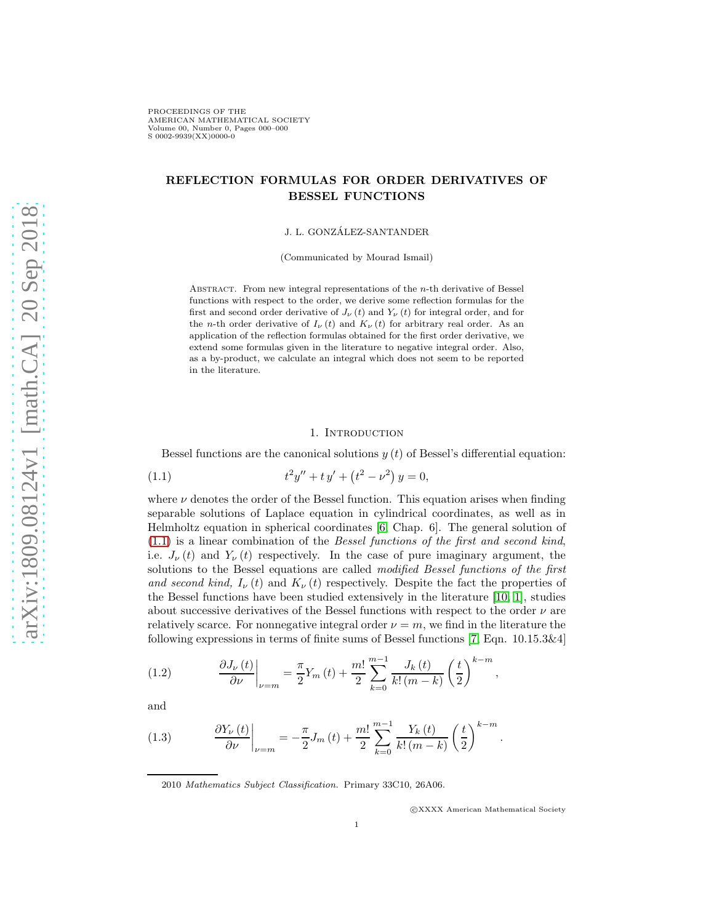# REFLECTION FORMULAS FOR ORDER DERIVATIVES OF BESSEL FUNCTIONS

J. L. GONZÁLEZ-SANTANDER

(Communicated by Mourad Ismail)

ABSTRACT. From new integral representations of the  $n$ -th derivative of Bessel functions with respect to the order, we derive some reflection formulas for the first and second order derivative of  $J_{\nu}(t)$  and  $Y_{\nu}(t)$  for integral order, and for the n-th order derivative of  $I_{\nu}(t)$  and  $K_{\nu}(t)$  for arbitrary real order. As an application of the reflection formulas obtained for the first order derivative, we extend some formulas given in the literature to negative integral order. Also, as a by-product, we calculate an integral which does not seem to be reported in the literature.

#### <span id="page-0-0"></span>1. INTRODUCTION

Bessel functions are the canonical solutions  $y(t)$  of Bessel's differential equation:

(1.1) 
$$
t^2y'' + ty' + (t^2 - \nu^2)y = 0,
$$

where  $\nu$  denotes the order of the Bessel function. This equation arises when finding separable solutions of Laplace equation in cylindrical coordinates, as well as in Helmholtz equation in spherical coordinates [\[6,](#page-13-0) Chap. 6]. The general solution of [\(1.1\)](#page-0-0) is a linear combination of the Bessel functions of the first and second kind, i.e.  $J_{\nu}(t)$  and  $Y_{\nu}(t)$  respectively. In the case of pure imaginary argument, the solutions to the Bessel equations are called modified Bessel functions of the first and second kind,  $I_{\nu}(t)$  and  $K_{\nu}(t)$  respectively. Despite the fact the properties of the Bessel functions have been studied extensively in the literature [\[10,](#page-13-1) [1\]](#page-13-2), studies about successive derivatives of the Bessel functions with respect to the order  $\nu$  are relatively scarce. For nonnegative integral order  $\nu = m$ , we find in the literature the following expressions in terms of finite sums of Bessel functions [\[7,](#page-13-3) Eqn. 10.15.3&4]

<span id="page-0-1"></span>(1.2) 
$$
\frac{\partial J_{\nu}(t)}{\partial \nu}\bigg|_{\nu=m} = \frac{\pi}{2} Y_m(t) + \frac{m!}{2} \sum_{k=0}^{m-1} \frac{J_k(t)}{k! (m-k)} \left(\frac{t}{2}\right)^{k-m},
$$

and

<span id="page-0-2"></span>(1.3) 
$$
\frac{\partial Y_{\nu}(t)}{\partial \nu}\bigg|_{\nu=m} = -\frac{\pi}{2}J_m(t) + \frac{m!}{2} \sum_{k=0}^{m-1} \frac{Y_k(t)}{k! (m-k)} \left(\frac{t}{2}\right)^{k-m}.
$$

2010 *Mathematics Subject Classification.* Primary 33C10, 26A06.

c XXXX American Mathematical Society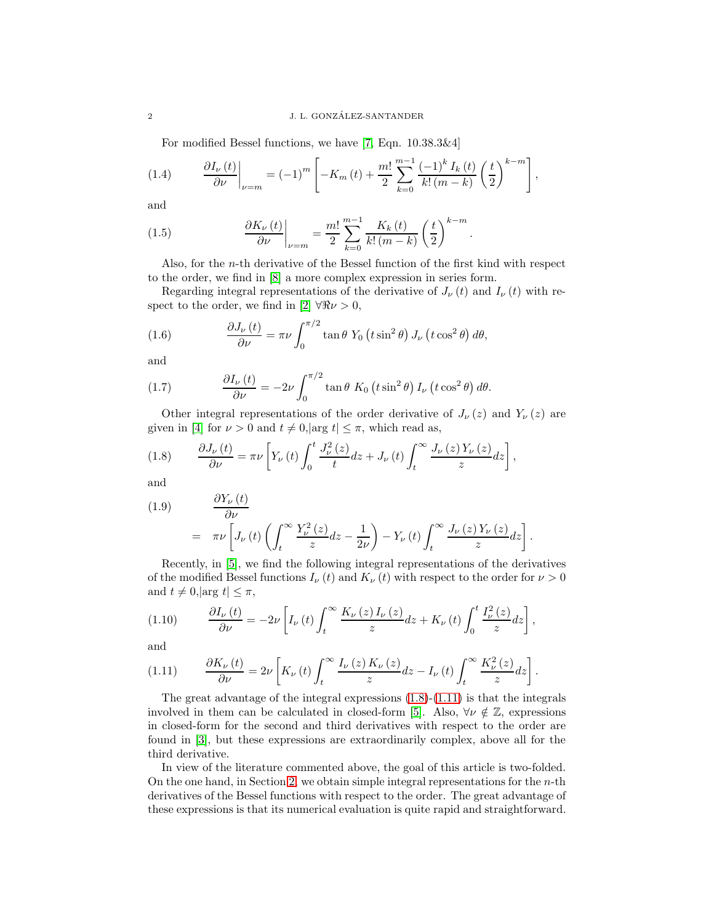<span id="page-1-3"></span>For modified Bessel functions, we have [\[7,](#page-13-3) Eqn. 10.38.3&4]

(1.4) 
$$
\frac{\partial I_{\nu}(t)}{\partial \nu}\bigg|_{\nu=m} = (-1)^m \left[ -K_m(t) + \frac{m!}{2} \sum_{k=0}^{m-1} \frac{(-1)^k I_k(t)}{k! (m-k)} \left( \frac{t}{2} \right)^{k-m} \right],
$$

and

<span id="page-1-2"></span>(1.5) 
$$
\frac{\partial K_{\nu}(t)}{\partial \nu}\bigg|_{\nu=m} = \frac{m!}{2} \sum_{k=0}^{m-1} \frac{K_{k}(t)}{k! (m-k)} \left(\frac{t}{2}\right)^{k-m}.
$$

Also, for the n-th derivative of the Bessel function of the first kind with respect to the order, we find in [\[8\]](#page-13-4) a more complex expression in series form.

Regarding integral representations of the derivative of  $J_{\nu}(t)$  and  $I_{\nu}(t)$  with re-spect to the order, we find in [\[2\]](#page-13-5)  $\forall \Re \nu > 0$ ,

(1.6) 
$$
\frac{\partial J_{\nu}(t)}{\partial \nu} = \pi \nu \int_0^{\pi/2} \tan \theta \ Y_0 \left( t \sin^2 \theta \right) J_{\nu} \left( t \cos^2 \theta \right) d\theta,
$$

and

(1.7) 
$$
\frac{\partial I_{\nu}(t)}{\partial \nu} = -2\nu \int_0^{\pi/2} \tan \theta \ K_0 \left( t \sin^2 \theta \right) I_{\nu} \left( t \cos^2 \theta \right) d\theta.
$$

Other integral representations of the order derivative of  $J_{\nu}(z)$  and  $Y_{\nu}(z)$  are given in [\[4\]](#page-13-6) for  $\nu > 0$  and  $t \neq 0, |\arg t| \leq \pi$ , which read as,

<span id="page-1-0"></span>(1.8) 
$$
\frac{\partial J_{\nu}(t)}{\partial \nu} = \pi \nu \left[ Y_{\nu}(t) \int_0^t \frac{J_{\nu}^2(z)}{t} dz + J_{\nu}(t) \int_t^{\infty} \frac{J_{\nu}(z) Y_{\nu}(z)}{z} dz \right],
$$

and

(1.9) 
$$
\frac{\partial Y_{\nu}(t)}{\partial \nu} = \pi \nu \left[ J_{\nu}(t) \left( \int_{t}^{\infty} \frac{Y_{\nu}^{2}(z)}{z} dz - \frac{1}{2\nu} \right) - Y_{\nu}(t) \int_{t}^{\infty} \frac{J_{\nu}(z) Y_{\nu}(z)}{z} dz \right].
$$

Recently, in [\[5\]](#page-13-7), we find the following integral representations of the derivatives of the modified Bessel functions  $I_{\nu}(t)$  and  $K_{\nu}(t)$  with respect to the order for  $\nu > 0$ and  $t \neq 0, |\arg t| \leq \pi$ ,

$$
(1.10) \qquad \frac{\partial I_{\nu}(t)}{\partial \nu} = -2\nu \left[ I_{\nu}(t) \int_{t}^{\infty} \frac{K_{\nu}(z) I_{\nu}(z)}{z} dz + K_{\nu}(t) \int_{0}^{t} \frac{I_{\nu}^{2}(z)}{z} dz \right],
$$

and

<span id="page-1-1"></span>
$$
(1.11) \qquad \frac{\partial K_{\nu}(t)}{\partial \nu} = 2\nu \left[ K_{\nu}(t) \int_{t}^{\infty} \frac{I_{\nu}(z) K_{\nu}(z)}{z} dz - I_{\nu}(t) \int_{t}^{\infty} \frac{K_{\nu}^{2}(z)}{z} dz \right].
$$

The great advantage of the integral expressions  $(1.8)-(1.11)$  $(1.8)-(1.11)$  is that the integrals involved in them can be calculated in closed-form [\[5\]](#page-13-7). Also,  $\forall \nu \notin \mathbb{Z}$ , expressions in closed-form for the second and third derivatives with respect to the order are found in [\[3\]](#page-13-8), but these expressions are extraordinarily complex, above all for the third derivative.

In view of the literature commented above, the goal of this article is two-folded. On the one hand, in Section [2,](#page-2-0) we obtain simple integral representations for the  $n$ -th derivatives of the Bessel functions with respect to the order. The great advantage of these expressions is that its numerical evaluation is quite rapid and straightforward.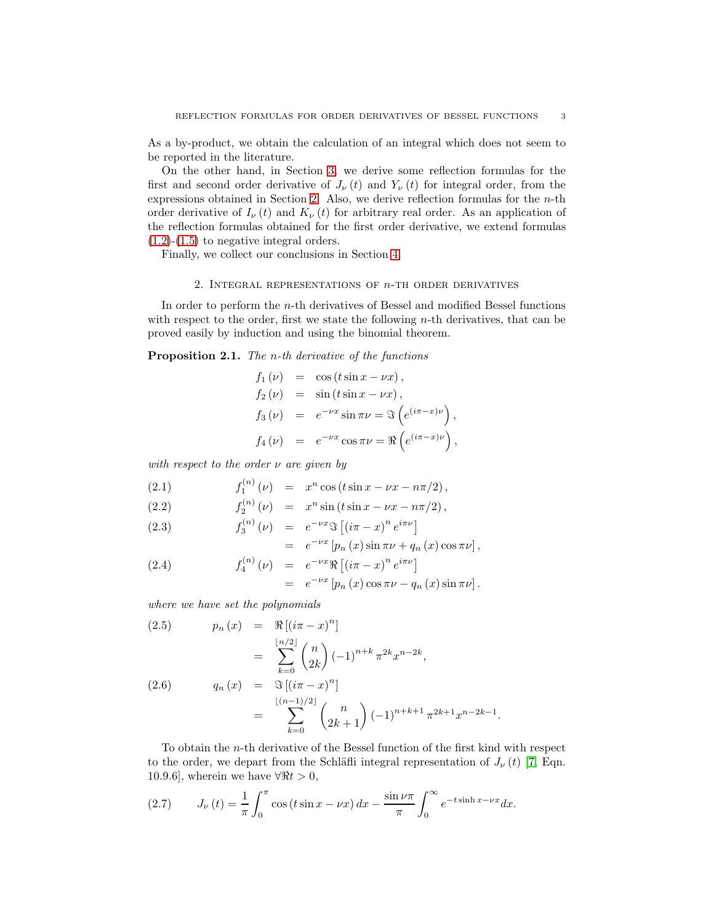As a by-product, we obtain the calculation of an integral which does not seem to be reported in the literature.

On the other hand, in Section [3,](#page-5-0) we derive some reflection formulas for the first and second order derivative of  $J_{\nu}(t)$  and  $Y_{\nu}(t)$  for integral order, from the expressions obtained in Section [2.](#page-2-0) Also, we derive reflection formulas for the  $n$ -th order derivative of  $I_{\nu}(t)$  and  $K_{\nu}(t)$  for arbitrary real order. As an application of the reflection formulas obtained for the first order derivative, we extend formulas  $(1.2)-(1.5)$  $(1.2)-(1.5)$  $(1.2)-(1.5)$  to negative integral orders.

<span id="page-2-0"></span>Finally, we collect our conclusions in Section [4.](#page-13-9)

### 2. INTEGRAL REPRESENTATIONS OF  $n$ -TH ORDER DERIVATIVES

In order to perform the n-th derivatives of Bessel and modified Bessel functions with respect to the order, first we state the following  $n$ -th derivatives, that can be proved easily by induction and using the binomial theorem.

Proposition 2.1. The *n*-th derivative of the functions

$$
f_1(\nu) = \cos(t \sin x - \nu x),
$$
  
\n
$$
f_2(\nu) = \sin(t \sin x - \nu x),
$$
  
\n
$$
f_3(\nu) = e^{-\nu x} \sin \pi \nu = \Im(e^{(i\pi - x)\nu}),
$$
  
\n
$$
f_4(\nu) = e^{-\nu x} \cos \pi \nu = \Re(e^{(i\pi - x)\nu}).
$$

,

with respect to the order  $\nu$  are given by

<span id="page-2-1"></span>(2.1) 
$$
f_1^{(n)}(\nu) = x^n \cos(t \sin x - \nu x - n\pi/2),
$$

(2.2) 
$$
f_2^{(n)}(\nu) = x^n \sin(t \sin x - \nu x - n\pi/2),
$$

(2.3) 
$$
f_3^{(n)}(\nu) = e^{-\nu x} \Im \left[ (i\pi - x)^n e^{i\pi \nu} \right]
$$

$$
= e^{-\nu x} \left[ p_n(x) \sin \pi \nu + q_n(x) \cos \pi \nu \right],
$$
  
(2.4)

(2.4) 
$$
f_4^{(n)}(\nu) = e^{-\nu x} \Re [(i\pi - x)^n e^{i\pi \nu}] = e^{-\nu x} [p_n(x) \cos \pi \nu - q_n(x) \sin \pi \nu].
$$

where we have set the polynomials

<span id="page-2-3"></span>(2.5) 
$$
p_n(x) = \Re[(i\pi - x)^n]
$$

$$
= \sum_{k=0}^{\lfloor n/2 \rfloor} {n \choose 2k} (-1)^{n+k} \pi^{2k} x^{n-2k},
$$

$$
q_n(x) = \Im[(i\pi - x)^n]
$$

$$
= \sum_{k=0}^{\lfloor (n-1)/2 \rfloor} {n \choose 2k+1} (-1)^{n+k+1} \pi^{2k+1} x^{n-2k-1}.
$$

To obtain the n-th derivative of the Bessel function of the first kind with respect to the order, we depart from the Schläfli integral representation of  $J_{\nu}(t)$  [\[7,](#page-13-3) Eqn. 10.9.6], wherein we have  $\forall \Re t > 0$ ,

<span id="page-2-2"></span>(2.7) 
$$
J_{\nu}(t) = \frac{1}{\pi} \int_0^{\pi} \cos(t \sin x - \nu x) dx - \frac{\sin \nu \pi}{\pi} \int_0^{\infty} e^{-t \sinh x - \nu x} dx.
$$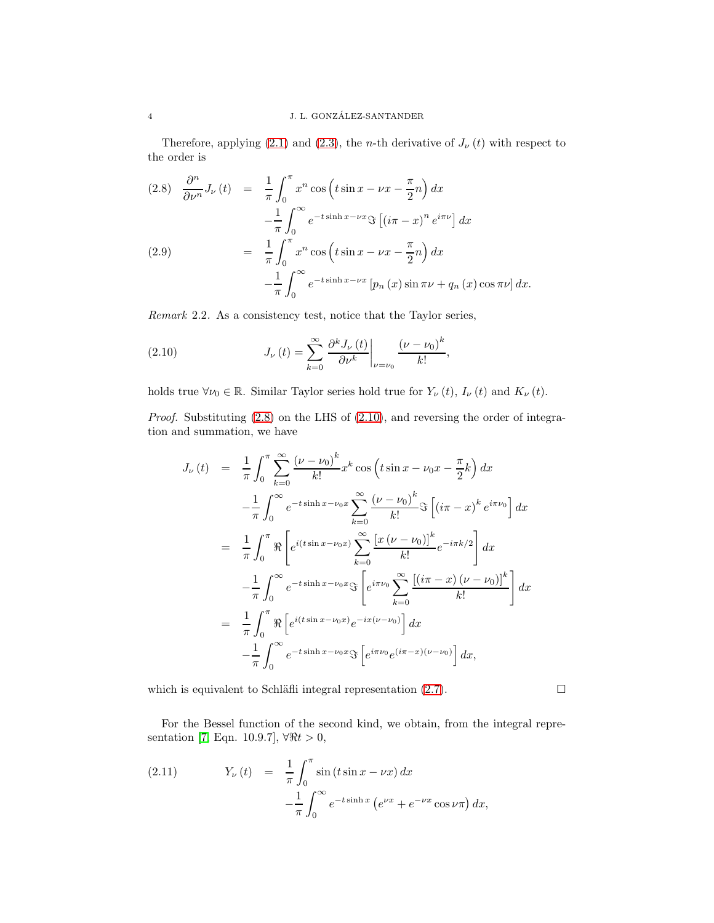Therefore, applying [\(2.1\)](#page-2-1) and [\(2.3\)](#page-2-1), the *n*-th derivative of  $J_{\nu}(t)$  with respect to the order is

<span id="page-3-0"></span>
$$
(2.8) \quad \frac{\partial^n}{\partial \nu^n} J_{\nu}(t) = \frac{1}{\pi} \int_0^{\pi} x^n \cos\left(t \sin x - \nu x - \frac{\pi}{2} n\right) dx
$$

$$
- \frac{1}{\pi} \int_0^{\infty} e^{-t \sinh x - \nu x} \Im\left[(i\pi - x)^n e^{i\pi \nu}\right] dx
$$

$$
(2.9) \quad = \frac{1}{\pi} \int_0^{\pi} x^n \cos\left(t \sin x - \nu x - \frac{\pi}{2} n\right) dx
$$

$$
- \frac{1}{\pi} \int_0^{\infty} e^{-t \sinh x - \nu x} \left[p_n(x) \sin \pi \nu + q_n(x) \cos \pi \nu\right] dx.
$$

Remark 2.2. As a consistency test, notice that the Taylor series,

<span id="page-3-1"></span>(2.10) 
$$
J_{\nu}(t) = \sum_{k=0}^{\infty} \left. \frac{\partial^k J_{\nu}(t)}{\partial \nu^k} \right|_{\nu=\nu_0} \frac{(\nu-\nu_0)^k}{k!},
$$

holds true  $\forall \nu_0 \in \mathbb{R}$ . Similar Taylor series hold true for  $Y_{\nu}(t)$ ,  $I_{\nu}(t)$  and  $K_{\nu}(t)$ .

Proof. Substituting  $(2.8)$  on the LHS of  $(2.10)$ , and reversing the order of integration and summation, we have

$$
J_{\nu}(t) = \frac{1}{\pi} \int_{0}^{\pi} \sum_{k=0}^{\infty} \frac{(\nu - \nu_{0})^{k}}{k!} x^{k} \cos\left(t \sin x - \nu_{0} x - \frac{\pi}{2} k\right) dx
$$
  

$$
- \frac{1}{\pi} \int_{0}^{\infty} e^{-t \sinh x - \nu_{0} x} \sum_{k=0}^{\infty} \frac{(\nu - \nu_{0})^{k}}{k!} \Im\left[(i\pi - x)^{k} e^{i\pi \nu_{0}}\right] dx
$$
  

$$
= \frac{1}{\pi} \int_{0}^{\pi} \Re\left[e^{i(t \sin x - \nu_{0} x)} \sum_{k=0}^{\infty} \frac{\left[x(\nu - \nu_{0})\right]^{k}}{k!} e^{-i\pi k/2}\right] dx
$$
  

$$
- \frac{1}{\pi} \int_{0}^{\infty} e^{-t \sinh x - \nu_{0} x} \Im\left[e^{i\pi \nu_{0}} \sum_{k=0}^{\infty} \frac{\left[(i\pi - x)(\nu - \nu_{0})\right]^{k}}{k!}\right] dx
$$
  

$$
= \frac{1}{\pi} \int_{0}^{\pi} \Re\left[e^{i(t \sin x - \nu_{0} x)} e^{-i x (\nu - \nu_{0})}\right] dx
$$
  

$$
- \frac{1}{\pi} \int_{0}^{\infty} e^{-t \sinh x - \nu_{0} x} \Im\left[e^{i\pi \nu_{0}} e^{(i\pi - x)(\nu - \nu_{0})}\right] dx,
$$

which is equivalent to Schläfli integral representation  $(2.7)$ .

For the Bessel function of the second kind, we obtain, from the integral repre-sentation [\[7,](#page-13-3) Eqn. 10.9.7],  $\forall \Re t > 0$ ,

<span id="page-3-2"></span>(2.11) 
$$
Y_{\nu}(t) = \frac{1}{\pi} \int_0^{\pi} \sin(t \sin x - \nu x) dx -\frac{1}{\pi} \int_0^{\infty} e^{-t \sinh x} (e^{\nu x} + e^{-\nu x} \cos \nu \pi) dx,
$$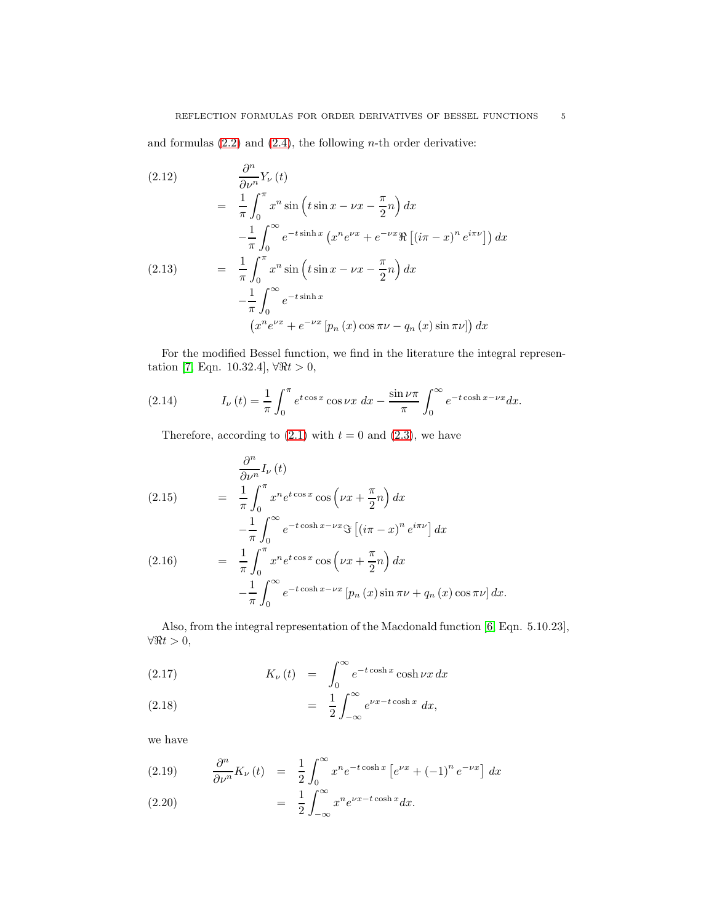and formulas  $(2.2)$  and  $(2.4)$ , the following *n*-th order derivative:

<span id="page-4-1"></span>(2.12)  
\n
$$
\frac{\partial^n}{\partial \nu^n} Y_{\nu}(t)
$$
\n
$$
= \frac{1}{\pi} \int_0^{\pi} x^n \sin\left(t \sin x - \nu x - \frac{\pi}{2} n\right) dx
$$
\n
$$
- \frac{1}{\pi} \int_0^{\infty} e^{-t \sinh x} \left(x^n e^{\nu x} + e^{-\nu x} \Re\left[(i\pi - x)^n e^{i\pi \nu}\right]\right) dx
$$
\n(2.13)  
\n
$$
= \frac{1}{\pi} \int_0^{\pi} x^n \sin\left(t \sin x - \nu x - \frac{\pi}{2} n\right) dx
$$
\n
$$
- \frac{1}{\pi} \int_0^{\infty} e^{-t \sinh x} \left[x^n e^{\nu x} + e^{-\nu x} \left[p_n(x) \cos \pi \nu - q_n(x) \sin \pi \nu\right]\right) dx
$$

For the modified Bessel function, we find in the literature the integral represen-tation [\[7,](#page-13-3) Eqn. 10.32.4],  $\forall \Re t > 0$ ,

(2.14) 
$$
I_{\nu}(t) = \frac{1}{\pi} \int_0^{\pi} e^{t \cos x} \cos \nu x \, dx - \frac{\sin \nu \pi}{\pi} \int_0^{\infty} e^{-t \cosh x - \nu x} dx.
$$

<span id="page-4-2"></span>Therefore, according to  $(2.1)$  with  $t = 0$  and  $(2.3)$ , we have

(2.15)  
\n
$$
\frac{\partial^n}{\partial \nu^n} I_{\nu}(t)
$$
\n
$$
= \frac{1}{\pi} \int_0^{\pi} x^n e^{t \cos x} \cos \left( \nu x + \frac{\pi}{2} n \right) dx
$$
\n
$$
- \frac{1}{\pi} \int_0^{\infty} e^{-t \cosh x - \nu x} \Im \left[ \left( i\pi - x \right)^n e^{i\pi \nu} \right] dx
$$
\n(2.16)  
\n
$$
= \frac{1}{\pi} \int_0^{\pi} x^n e^{t \cos x} \cos \left( \nu x + \frac{\pi}{2} n \right) dx
$$
\n
$$
- \frac{1}{\pi} \int_0^{\infty} e^{-t \cosh x - \nu x} \left[ p_n(x) \sin \pi \nu + q_n(x) \cos \pi \nu \right] dx.
$$

Also, from the integral representation of the Macdonald function [\[6,](#page-13-0) Eqn. 5.10.23],  $\forall \Re t > 0,$ 

(2.17) 
$$
K_{\nu}(t) = \int_0^{\infty} e^{-t \cosh x} \cosh \nu x \, dx
$$

(2.18) 
$$
= \frac{1}{2} \int_{-\infty}^{\infty} e^{\nu x - t \cosh x} dx,
$$

we have

<span id="page-4-0"></span>(2.19) 
$$
\frac{\partial^n}{\partial \nu^n} K_{\nu}(t) = \frac{1}{2} \int_0^{\infty} x^n e^{-t \cosh x} \left[ e^{\nu x} + (-1)^n e^{-\nu x} \right] dx
$$

$$
(2.20) = \frac{1}{2} \int_{-\infty}^{\infty} x^n e^{\nu x - t \cosh x} dx.
$$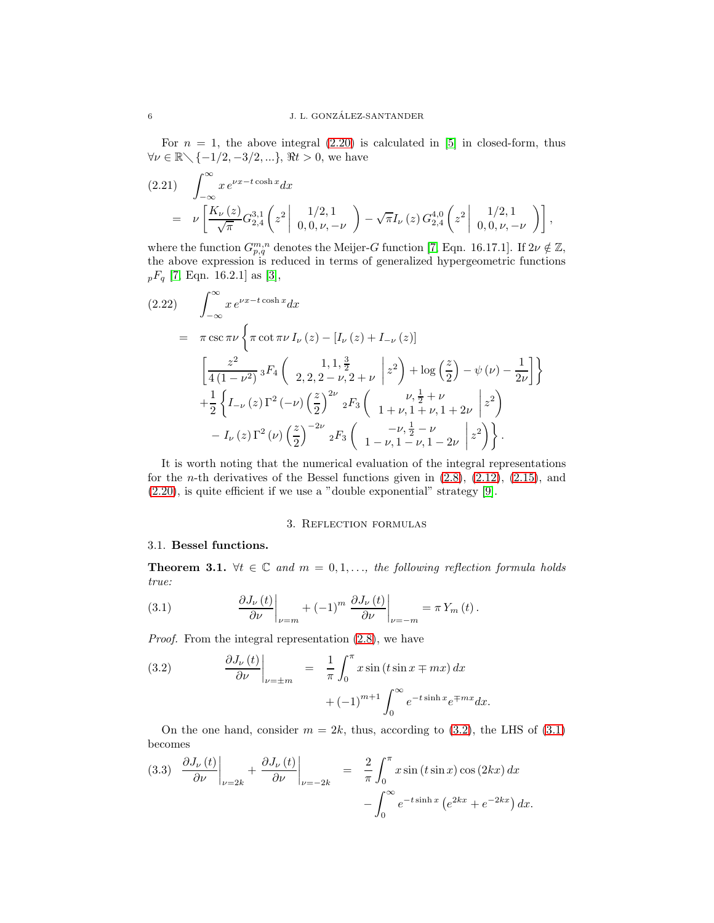For  $n = 1$ , the above integral  $(2.20)$  is calculated in [\[5\]](#page-13-7) in closed-form, thus  $\forall \nu \in \mathbb{R} \diagdown \{-1/2, -3/2, \ldots\}, \, \Re t > 0$ , we have

<span id="page-5-4"></span>
$$
(2.21) \quad \int_{-\infty}^{\infty} x e^{\nu x - t \cosh x} dx
$$
  
=\n
$$
\nu \left[ \frac{K_{\nu}(z)}{\sqrt{\pi}} G_{2,4}^{3,1} \left( z^2 \middle| \begin{array}{c} 1/2, 1 \\ 0, 0, \nu, -\nu \end{array} \right) - \sqrt{\pi} I_{\nu}(z) G_{2,4}^{4,0} \left( z^2 \middle| \begin{array}{c} 1/2, 1 \\ 0, 0, \nu, -\nu \end{array} \right) \right],
$$

where the function  $G_{p,q}^{m,n}$  denotes the Meijer-G function [\[7,](#page-13-3) Eqn. 16.17.1]. If  $2\nu \notin \mathbb{Z}$ , the above expression is reduced in terms of generalized hypergeometric functions  $_{p}F_{q}$  [\[7,](#page-13-3) Eqn. 16.2.1] as [\[3\]](#page-13-8),

<span id="page-5-5"></span>
$$
(2.22) \int_{-\infty}^{\infty} x e^{\nu x - t \cosh x} dx
$$
  
\n
$$
= \pi \csc \pi \nu \left\{ \pi \cot \pi \nu I_{\nu}(z) - [I_{\nu}(z) + I_{-\nu}(z)] \right\}
$$
  
\n
$$
\left[ \frac{z^2}{4(1 - \nu^2)} \right] {}_3F_4\left( \frac{1}{2}, \frac{1}{2}, \frac{3}{2} + \nu |z^2 \right) + \log \left( \frac{z}{2} \right) - \psi(\nu) - \frac{1}{2\nu} \right] \right\}
$$
  
\n
$$
+ \frac{1}{2} \left\{ I_{-\nu}(z) \Gamma^2(-\nu) \left( \frac{z}{2} \right)^{2\nu} {}_2F_3\left( \frac{\nu}{1 + \nu, 1 + \nu, 1 + 2\nu} |z^2 \right) - I_{\nu}(z) \Gamma^2(\nu) \left( \frac{z}{2} \right)^{-2\nu} {}_2F_3\left( \frac{-\nu}{1 - \nu, 1 - \nu, 1 - 2\nu} |z^2 \right) \right\}.
$$

It is worth noting that the numerical evaluation of the integral representations for the *n*-th derivatives of the Bessel functions given in  $(2.8)$ ,  $(2.12)$ ,  $(2.15)$ , and [\(2.20\)](#page-4-0), is quite efficient if we use a "double exponential" strategy [\[9\]](#page-13-10).

# 3. Reflection formulas

# <span id="page-5-0"></span>3.1. Bessel functions.

**Theorem 3.1.**  $\forall t \in \mathbb{C}$  and  $m = 0, 1, \ldots$ , the following reflection formula holds true:

<span id="page-5-2"></span>(3.1) 
$$
\frac{\partial J_{\nu}(t)}{\partial \nu}\bigg|_{\nu=m}+(-1)^m\left.\frac{\partial J_{\nu}(t)}{\partial \nu}\right|_{\nu=-m}=\pi Y_m(t).
$$

Proof. From the integral representation [\(2.8\)](#page-3-0), we have

<span id="page-5-1"></span>(3.2) 
$$
\frac{\partial J_{\nu}(t)}{\partial \nu}\Big|_{\nu=\pm m} = \frac{1}{\pi} \int_0^{\pi} x \sin(t \sin x \mp mx) dx + (-1)^{m+1} \int_0^{\infty} e^{-t \sinh x} e^{\mp mx} dx.
$$

On the one hand, consider  $m = 2k$ , thus, according to [\(3.2\)](#page-5-1), the LHS of [\(3.1\)](#page-5-2) becomes

<span id="page-5-3"></span>
$$
(3.3) \quad \frac{\partial J_{\nu}(t)}{\partial \nu}\Big|_{\nu=2k} + \frac{\partial J_{\nu}(t)}{\partial \nu}\Big|_{\nu=-2k} = \frac{2}{\pi} \int_0^{\pi} x \sin(t \sin x) \cos(2kx) dx - \int_0^{\infty} e^{-t \sinh x} \left(e^{2kx} + e^{-2kx}\right) dx.
$$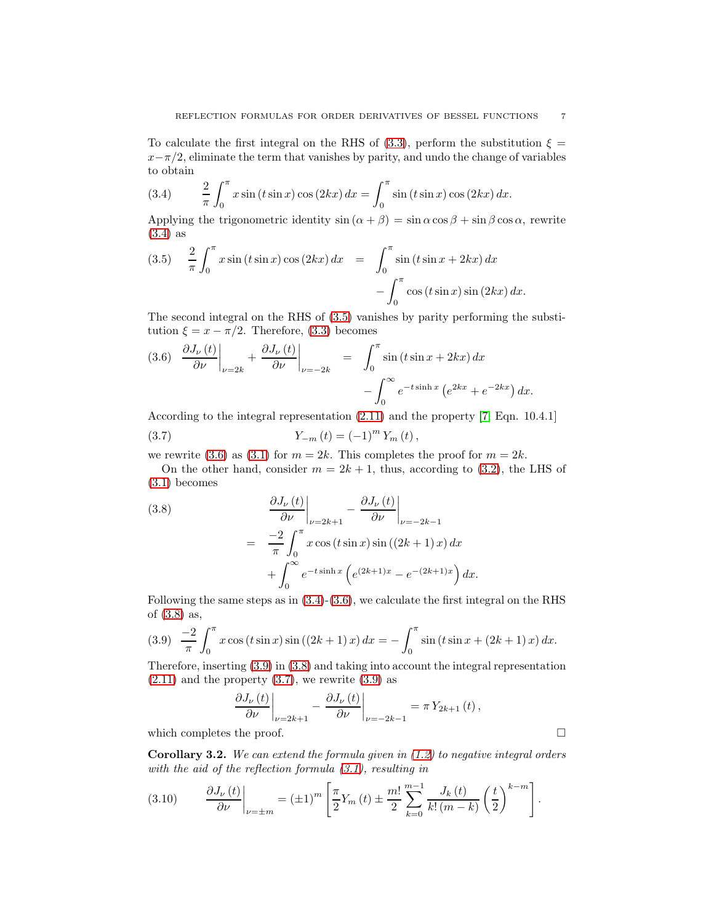To calculate the first integral on the RHS of [\(3.3\)](#page-5-3), perform the substitution  $\xi =$  $x-\pi/2$ , eliminate the term that vanishes by parity, and undo the change of variables to obtain

<span id="page-6-0"></span>(3.4) 
$$
\frac{2}{\pi} \int_0^{\pi} x \sin(t \sin x) \cos(2kx) dx = \int_0^{\pi} \sin(t \sin x) \cos(2kx) dx.
$$

Applying the trigonometric identity  $\sin (\alpha + \beta) = \sin \alpha \cos \beta + \sin \beta \cos \alpha$ , rewrite [\(3.4\)](#page-6-0) as

<span id="page-6-1"></span>(3.5) 
$$
\frac{2}{\pi} \int_0^{\pi} x \sin(t \sin x) \cos(2kx) dx = \int_0^{\pi} \sin(t \sin x + 2kx) dx - \int_0^{\pi} \cos(t \sin x) \sin(2kx) dx.
$$

The second integral on the RHS of [\(3.5\)](#page-6-1) vanishes by parity performing the substitution  $\xi = x - \pi/2$ . Therefore, [\(3.3\)](#page-5-3) becomes

<span id="page-6-2"></span>
$$
(3.6) \quad \frac{\partial J_{\nu}(t)}{\partial \nu}\Big|_{\nu=2k} + \frac{\partial J_{\nu}(t)}{\partial \nu}\Big|_{\nu=-2k} = \int_0^{\pi} \sin\left(t\sin x + 2kx\right) dx - \int_0^{\infty} e^{-t\sinh x} \left(e^{2kx} + e^{-2kx}\right) dx.
$$

According to the integral representation [\(2.11\)](#page-3-2) and the property [\[7,](#page-13-3) Eqn. 10.4.1]

<span id="page-6-5"></span>(3.7) 
$$
Y_{-m}(t) = (-1)^m Y_m(t),
$$

we rewrite [\(3.6\)](#page-6-2) as [\(3.1\)](#page-5-2) for  $m = 2k$ . This completes the proof for  $m = 2k$ .

On the other hand, consider  $m = 2k + 1$ , thus, according to [\(3.2\)](#page-5-1), the LHS of [\(3.1\)](#page-5-2) becomes

<span id="page-6-3"></span>(3.8)  

$$
\frac{\partial J_{\nu}(t)}{\partial \nu}\Big|_{\nu=2k+1} - \frac{\partial J_{\nu}(t)}{\partial \nu}\Big|_{\nu=-2k-1}
$$

$$
= \frac{-2}{\pi} \int_0^{\pi} x \cos(t \sin x) \sin((2k+1)x) dx
$$

$$
+ \int_0^{\infty} e^{-t \sinh x} \left(e^{(2k+1)x} - e^{-(2k+1)x}\right) dx.
$$

Following the same steps as in  $(3.4)-(3.6)$  $(3.4)-(3.6)$ , we calculate the first integral on the RHS of [\(3.8\)](#page-6-3) as,

<span id="page-6-4"></span>
$$
(3.9) \quad \frac{-2}{\pi} \int_0^\pi x \cos(t \sin x) \sin((2k+1)x) \, dx = -\int_0^\pi \sin(t \sin x + (2k+1)x) \, dx.
$$

Therefore, inserting [\(3.9\)](#page-6-4) in [\(3.8\)](#page-6-3) and taking into account the integral representation  $(2.11)$  and the property  $(3.7)$ , we rewrite  $(3.9)$  as

$$
\left. \frac{\partial J_{\nu}(t)}{\partial \nu} \right|_{\nu=2k+1} - \left. \frac{\partial J_{\nu}(t)}{\partial \nu} \right|_{\nu=-2k-1} = \pi Y_{2k+1}(t) ,
$$

which completes the proof.  $\Box$ 

**Corollary 3.2.** We can extend the formula given in  $(1.2)$  to negative integral orders with the aid of the reflection formula [\(3.1\)](#page-5-2), resulting in

(3.10) 
$$
\frac{\partial J_{\nu}(t)}{\partial \nu}\bigg|_{\nu=\pm m} = (\pm 1)^m \left[\frac{\pi}{2}Y_m(t) \pm \frac{m!}{2}\sum_{k=0}^{m-1} \frac{J_k(t)}{k!(m-k)} \left(\frac{t}{2}\right)^{k-m}\right].
$$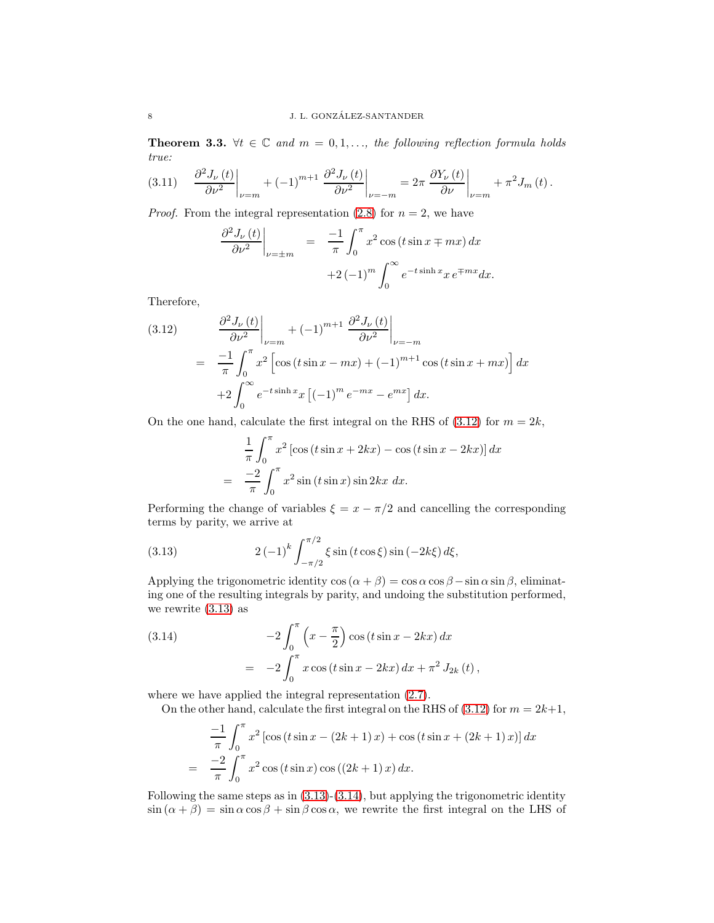**Theorem 3.3.**  $\forall t \in \mathbb{C}$  and  $m = 0, 1, \dots$ , the following reflection formula holds true:

<span id="page-7-3"></span>
$$
(3.11) \quad \left. \frac{\partial^2 J_{\nu}(t)}{\partial \nu^2} \right|_{\nu=m} + (-1)^{m+1} \left. \frac{\partial^2 J_{\nu}(t)}{\partial \nu^2} \right|_{\nu=-m} = 2\pi \left. \frac{\partial Y_{\nu}(t)}{\partial \nu} \right|_{\nu=m} + \pi^2 J_m(t).
$$

*Proof.* From the integral representation [\(2.8\)](#page-3-0) for  $n = 2$ , we have

$$
\frac{\partial^2 J_{\nu}(t)}{\partial \nu^2}\Big|_{\nu=\pm m} = \frac{-1}{\pi} \int_0^{\pi} x^2 \cos(t \sin x \mp mx) dx
$$

$$
+2 (-1)^m \int_0^{\infty} e^{-t \sinh x} x e^{\mp mx} dx.
$$

Therefore,

<span id="page-7-0"></span>(3.12) 
$$
\frac{\partial^2 J_{\nu}(t)}{\partial \nu^2}\Big|_{\nu=m} + (-1)^{m+1} \frac{\partial^2 J_{\nu}(t)}{\partial \nu^2}\Big|_{\nu=-m}
$$

$$
= \frac{-1}{\pi} \int_0^{\pi} x^2 \left[ \cos(t \sin x - mx) + (-1)^{m+1} \cos(t \sin x + mx) \right] dx
$$

$$
+ 2 \int_0^{\infty} e^{-t \sinh x} x \left[ (-1)^m e^{-mx} - e^{mx} \right] dx.
$$

On the one hand, calculate the first integral on the RHS of  $(3.12)$  for  $m = 2k$ ,

$$
\frac{1}{\pi} \int_0^{\pi} x^2 \left[ \cos \left( t \sin x + 2kx \right) - \cos \left( t \sin x - 2kx \right) \right] dx
$$

$$
= \frac{-2}{\pi} \int_0^{\pi} x^2 \sin \left( t \sin x \right) \sin 2kx \ dx.
$$

Performing the change of variables  $\xi = x - \pi/2$  and cancelling the corresponding terms by parity, we arrive at

<span id="page-7-1"></span>(3.13) 
$$
2(-1)^k \int_{-\pi/2}^{\pi/2} \xi \sin(t \cos \xi) \sin(-2k\xi) d\xi,
$$

Applying the trigonometric identity  $\cos(\alpha + \beta) = \cos \alpha \cos \beta - \sin \alpha \sin \beta$ , eliminating one of the resulting integrals by parity, and undoing the substitution performed, we rewrite [\(3.13\)](#page-7-1) as

<span id="page-7-2"></span>(3.14) 
$$
-2\int_0^{\pi} \left(x - \frac{\pi}{2}\right) \cos\left(t \sin x - 2kx\right) dx
$$

$$
= -2\int_0^{\pi} x \cos\left(t \sin x - 2kx\right) dx + \pi^2 J_{2k}(t),
$$

where we have applied the integral representation  $(2.7)$ .

On the other hand, calculate the first integral on the RHS of [\(3.12\)](#page-7-0) for  $m = 2k+1$ ,

$$
\frac{-1}{\pi} \int_0^{\pi} x^2 \left[ \cos \left( t \sin x - (2k+1)x \right) + \cos \left( t \sin x + (2k+1)x \right) \right] dx
$$

$$
= \frac{-2}{\pi} \int_0^{\pi} x^2 \cos \left( t \sin x \right) \cos \left( (2k+1)x \right) dx.
$$

Following the same steps as in  $(3.13)-(3.14)$  $(3.13)-(3.14)$ , but applying the trigonometric identity  $\sin (\alpha + \beta) = \sin \alpha \cos \beta + \sin \beta \cos \alpha$ , we rewrite the first integral on the LHS of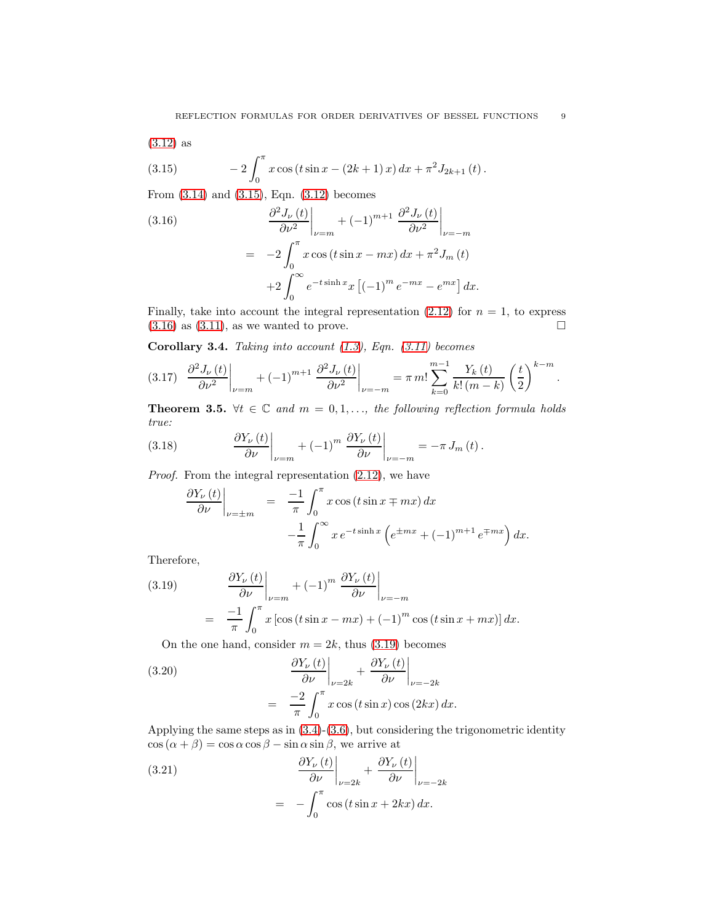$$
(3.12)
$$
 as

<span id="page-8-0"></span>(3.15) 
$$
-2\int_0^{\pi} x \cos(t \sin x - (2k+1)x) dx + \pi^2 J_{2k+1}(t).
$$

From [\(3.14\)](#page-7-2) and [\(3.15\)](#page-8-0), Eqn. [\(3.12\)](#page-7-0) becomes

<span id="page-8-1"></span>(3.16)  
\n
$$
\frac{\partial^2 J_{\nu}(t)}{\partial \nu^2}\Big|_{\nu=m} + (-1)^{m+1} \frac{\partial^2 J_{\nu}(t)}{\partial \nu^2}\Big|_{\nu=-m}
$$
\n
$$
= -2 \int_0^{\pi} x \cos(t \sin x - mx) dx + \pi^2 J_m(t)
$$
\n
$$
+2 \int_0^{\infty} e^{-t \sinh x} x \left[ (-1)^m e^{-mx} - e^{mx} \right] dx.
$$

Finally, take into account the integral representation [\(2.12\)](#page-4-1) for  $n = 1$ , to express  $(3.16)$  as  $(3.11)$ , as we wanted to prove.

Corollary 3.4. Taking into account  $(1.3)$ , Eqn.  $(3.11)$  becomes

<span id="page-8-6"></span>
$$
(3.17) \left. \frac{\partial^2 J_{\nu}(t)}{\partial \nu^2} \right|_{\nu=m} + (-1)^{m+1} \left. \frac{\partial^2 J_{\nu}(t)}{\partial \nu^2} \right|_{\nu=-m} = \pi m! \sum_{k=0}^{m-1} \frac{Y_k(t)}{k! (m-k)} \left( \frac{t}{2} \right)^{k-m}.
$$

**Theorem 3.5.**  $\forall t \in \mathbb{C}$  and  $m = 0, 1, \dots$ , the following reflection formula holds true:

(3.18) 
$$
\frac{\partial Y_{\nu}(t)}{\partial \nu}\bigg|_{\nu=m} + (-1)^m \left. \frac{\partial Y_{\nu}(t)}{\partial \nu}\right|_{\nu=-m} = -\pi J_m(t).
$$

Proof. From the integral representation [\(2.12\)](#page-4-1), we have

<span id="page-8-4"></span>
$$
\frac{\partial Y_{\nu}(t)}{\partial \nu}\Big|_{\nu=\pm m} = \frac{-1}{\pi} \int_0^{\pi} x \cos(t \sin x \mp mx) dx
$$

$$
-\frac{1}{\pi} \int_0^{\infty} x e^{-t \sinh x} \left(e^{\pm mx} + (-1)^{m+1} e^{\mp mx}\right) dx.
$$

Therefore,

<span id="page-8-2"></span>(3.19) 
$$
\frac{\partial Y_{\nu}(t)}{\partial \nu}\Big|_{\nu=m} + (-1)^m \frac{\partial Y_{\nu}(t)}{\partial \nu}\Big|_{\nu=-m}
$$

$$
= \frac{-1}{\pi} \int_0^{\pi} x \left[\cos(t \sin x - mx) + (-1)^m \cos(t \sin x + mx)\right] dx.
$$

<span id="page-8-5"></span>On the one hand, consider  $m = 2k$ , thus [\(3.19\)](#page-8-2) becomes

(3.20)  

$$
\frac{\partial Y_{\nu}(t)}{\partial \nu}\Big|_{\nu=2k} + \frac{\partial Y_{\nu}(t)}{\partial \nu}\Big|_{\nu=-2k}
$$

$$
= \frac{-2}{\pi} \int_0^{\pi} x \cos(t \sin x) \cos(2kx) dx.
$$

Applying the same steps as in [\(3.4\)](#page-6-0)-[\(3.6\)](#page-6-2), but considering the trigonometric identity  $\cos(\alpha + \beta) = \cos \alpha \cos \beta - \sin \alpha \sin \beta$ , we arrive at

<span id="page-8-3"></span>(3.21) 
$$
\frac{\partial Y_{\nu}(t)}{\partial \nu}\Big|_{\nu=2k} + \frac{\partial Y_{\nu}(t)}{\partial \nu}\Big|_{\nu=-2k}
$$

$$
= -\int_0^{\pi} \cos(t \sin x + 2kx) dx.
$$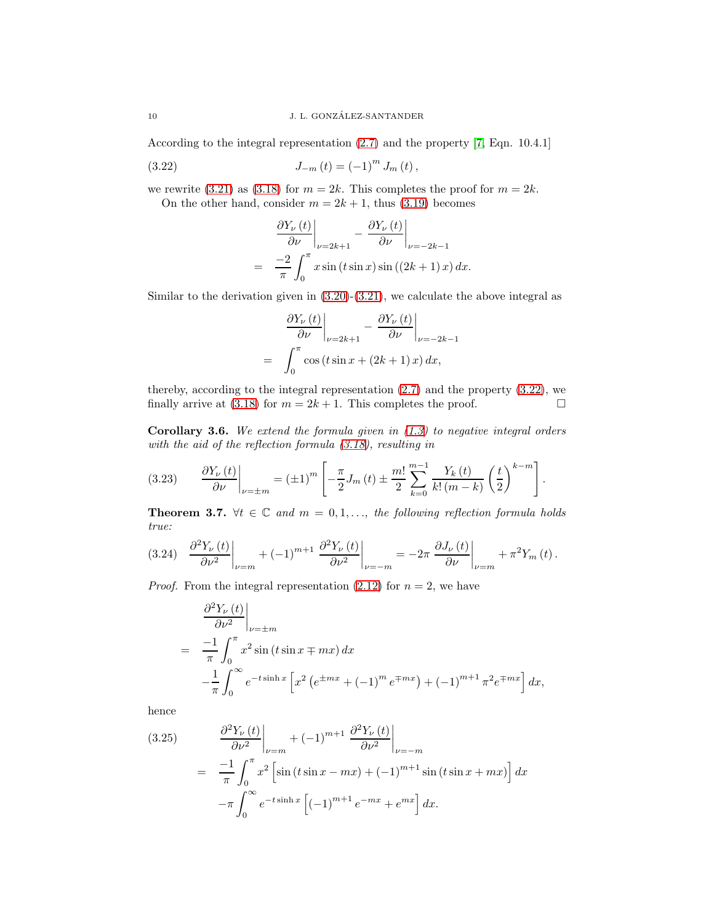According to the integral representation [\(2.7\)](#page-2-2) and the property [\[7,](#page-13-3) Eqn. 10.4.1]

(3.22) 
$$
J_{-m}(t) = (-1)^m J_m(t),
$$

we rewrite [\(3.21\)](#page-8-3) as [\(3.18\)](#page-8-4) for  $m = 2k$ . This completes the proof for  $m = 2k$ . On the other hand, consider  $m = 2k + 1$ , thus [\(3.19\)](#page-8-2) becomes

<span id="page-9-0"></span>
$$
\frac{\partial Y_{\nu}(t)}{\partial \nu}\Big|_{\nu=2k+1} - \frac{\partial Y_{\nu}(t)}{\partial \nu}\Big|_{\nu=-2k-1}
$$
  
= 
$$
\frac{-2}{\pi} \int_0^{\pi} x \sin(t \sin x) \sin((2k+1)x) dx.
$$

Similar to the derivation given in [\(3.20\)](#page-8-5)-[\(3.21\)](#page-8-3), we calculate the above integral as

$$
\frac{\partial Y_{\nu}(t)}{\partial \nu}\Big|_{\nu=2k+1} - \frac{\partial Y_{\nu}(t)}{\partial \nu}\Big|_{\nu=-2k-1}
$$
  
= 
$$
\int_0^{\pi} \cos(t \sin x + (2k+1)x) dx,
$$

thereby, according to the integral representation [\(2.7\)](#page-2-2) and the property [\(3.22\)](#page-9-0), we finally arrive at [\(3.18\)](#page-8-4) for  $m = 2k + 1$ . This completes the proof.

**Corollary 3.6.** We extend the formula given in  $(1.3)$  to negative integral orders with the aid of the reflection formula [\(3.18\)](#page-8-4), resulting in

(3.23) 
$$
\frac{\partial Y_{\nu}(t)}{\partial \nu}\bigg|_{\nu=\pm m} = (\pm 1)^m \left[ -\frac{\pi}{2} J_m(t) \pm \frac{m!}{2} \sum_{k=0}^{m-1} \frac{Y_k(t)}{k! (m-k)} \left( \frac{t}{2} \right)^{k-m} \right].
$$

**Theorem 3.7.**  $\forall t \in \mathbb{C}$  and  $m = 0, 1, \ldots$ , the following reflection formula holds true:

<span id="page-9-2"></span>
$$
(3.24) \left. \frac{\partial^2 Y_{\nu}(t)}{\partial \nu^2} \right|_{\nu=m} + (-1)^{m+1} \left. \frac{\partial^2 Y_{\nu}(t)}{\partial \nu^2} \right|_{\nu=-m} = -2\pi \left. \frac{\partial J_{\nu}(t)}{\partial \nu} \right|_{\nu=m} + \pi^2 Y_m(t).
$$

*Proof.* From the integral representation [\(2.12\)](#page-4-1) for  $n = 2$ , we have

$$
\frac{\partial^2 Y_{\nu}(t)}{\partial \nu^2}\Big|_{\nu=\pm m}
$$
  
= 
$$
\frac{-1}{\pi} \int_0^{\pi} x^2 \sin(t \sin x \mp mx) dx
$$
  

$$
-\frac{1}{\pi} \int_0^{\infty} e^{-t \sinh x} \left[ x^2 \left( e^{\pm mx} + (-1)^m e^{\mp mx} \right) + (-1)^{m+1} \pi^2 e^{\mp mx} \right] dx,
$$

hence

<span id="page-9-1"></span>(3.25) 
$$
\frac{\partial^2 Y_{\nu}(t)}{\partial \nu^2}\Big|_{\nu=m} + (-1)^{m+1} \frac{\partial^2 Y_{\nu}(t)}{\partial \nu^2}\Big|_{\nu=-m}
$$

$$
= \frac{-1}{\pi} \int_0^{\pi} x^2 \left[\sin(t \sin x - mx) + (-1)^{m+1} \sin(t \sin x + mx)\right] dx
$$

$$
-\pi \int_0^{\infty} e^{-t \sinh x} \left[(-1)^{m+1} e^{-mx} + e^{mx}\right] dx.
$$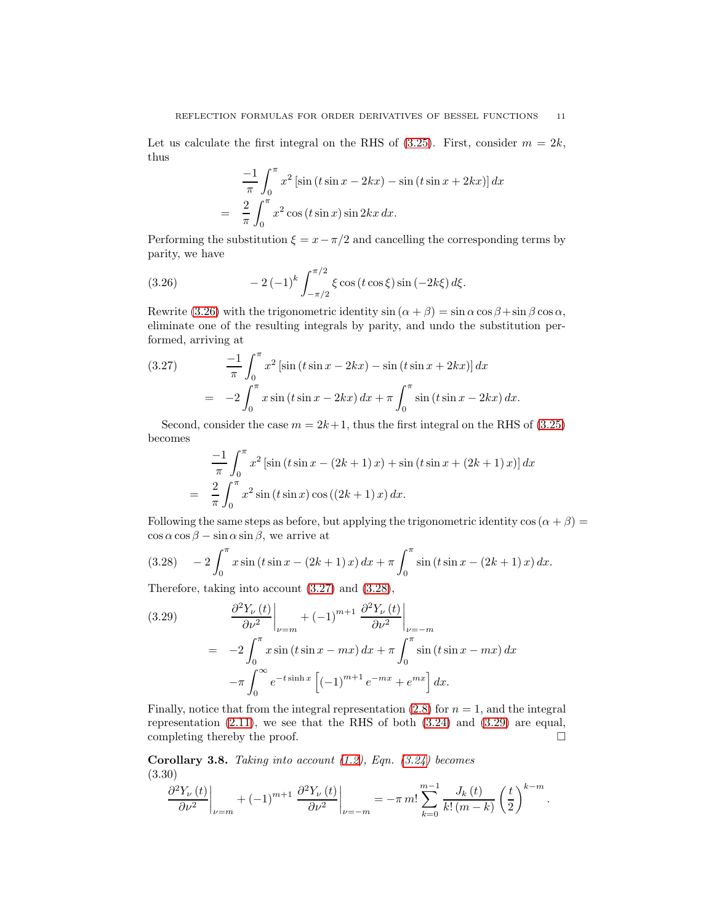Let us calculate the first integral on the RHS of  $(3.25)$ . First, consider  $m = 2k$ , thus

$$
\frac{-1}{\pi} \int_0^{\pi} x^2 \left[ \sin (t \sin x - 2kx) - \sin (t \sin x + 2kx) \right] dx
$$

$$
= \frac{2}{\pi} \int_0^{\pi} x^2 \cos (t \sin x) \sin 2kx \, dx.
$$

Performing the substitution  $\xi = x - \pi/2$  and cancelling the corresponding terms by parity, we have

<span id="page-10-0"></span>(3.26) 
$$
-2(-1)^k \int_{-\pi/2}^{\pi/2} \xi \cos(t \cos \xi) \sin(-2k\xi) d\xi.
$$

Rewrite [\(3.26\)](#page-10-0) with the trigonometric identity  $\sin (\alpha + \beta) = \sin \alpha \cos \beta + \sin \beta \cos \alpha$ , eliminate one of the resulting integrals by parity, and undo the substitution performed, arriving at

<span id="page-10-1"></span>(3.27) 
$$
\frac{-1}{\pi} \int_0^{\pi} x^2 \left[ \sin (t \sin x - 2kx) - \sin (t \sin x + 2kx) \right] dx
$$

$$
= -2 \int_0^{\pi} x \sin (t \sin x - 2kx) dx + \pi \int_0^{\pi} \sin (t \sin x - 2kx) dx.
$$

Second, consider the case  $m = 2k + 1$ , thus the first integral on the RHS of [\(3.25\)](#page-9-1) becomes

$$
\frac{-1}{\pi} \int_0^{\pi} x^2 \left[ \sin (t \sin x - (2k+1)x) + \sin (t \sin x + (2k+1)x) \right] dx
$$

$$
= \frac{2}{\pi} \int_0^{\pi} x^2 \sin (t \sin x) \cos ((2k+1)x) dx.
$$

Following the same steps as before, but applying the trigonometric identity  $\cos(\alpha + \beta) =$  $\cos \alpha \cos \beta - \sin \alpha \sin \beta$ , we arrive at

<span id="page-10-2"></span>
$$
(3.28) \quad -2\int_0^\pi x\sin\left(t\sin x - (2k+1)x\right)dx + \pi\int_0^\pi \sin\left(t\sin x - (2k+1)x\right)dx.
$$

Therefore, taking into account [\(3.27\)](#page-10-1) and [\(3.28\)](#page-10-2),

<span id="page-10-3"></span>(3.29) 
$$
\frac{\partial^2 Y_{\nu}(t)}{\partial \nu^2}\Big|_{\nu=m} + (-1)^{m+1} \frac{\partial^2 Y_{\nu}(t)}{\partial \nu^2}\Big|_{\nu=-m}
$$

$$
= -2 \int_0^{\pi} x \sin(t \sin x - mx) dx + \pi \int_0^{\pi} \sin(t \sin x - mx) dx
$$

$$
-\pi \int_0^{\infty} e^{-t \sinh x} \left[ (-1)^{m+1} e^{-mx} + e^{mx} \right] dx.
$$

Finally, notice that from the integral representation  $(2.8)$  for  $n = 1$ , and the integral representation  $(2.11)$ , we see that the RHS of both  $(3.24)$  and  $(3.29)$  are equal, completing thereby the proof.

**Corollary 3.8.** Taking into account  $(1.2)$ , Eqn.  $(3.24)$  becomes (3.30)

<span id="page-10-4"></span>
$$
\frac{\partial^{2} Y_{\nu}(t)}{\partial \nu^{2}} \bigg|_{\nu=m} + (-1)^{m+1} \left. \frac{\partial^{2} Y_{\nu}(t)}{\partial \nu^{2}} \right|_{\nu=-m} = -\pi m! \sum_{k=0}^{m-1} \frac{J_{k}(t)}{k! (m-k)} \left( \frac{t}{2} \right)^{k-m}.
$$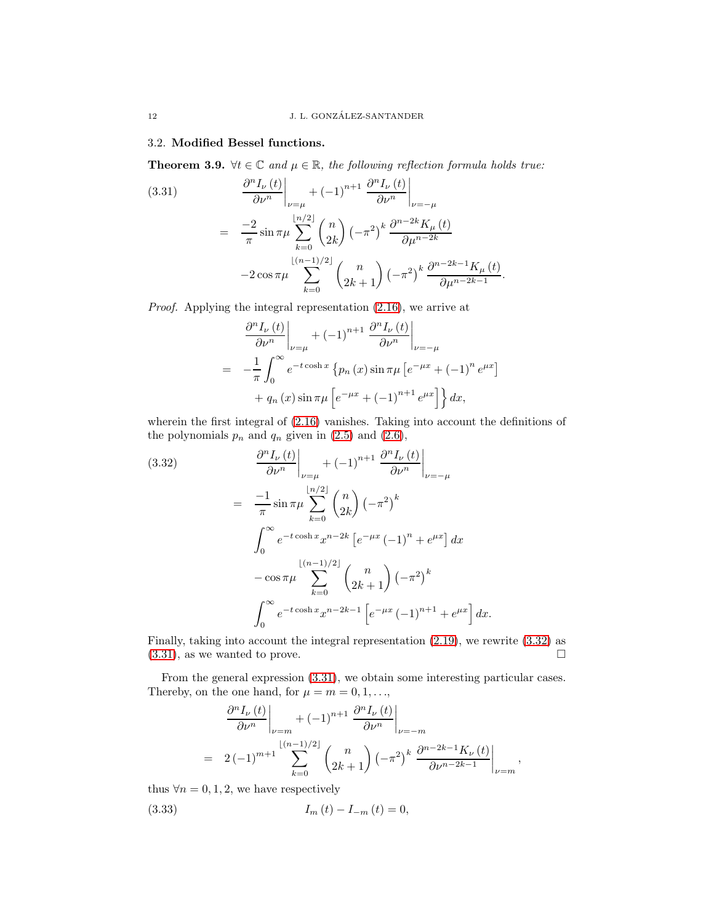### 3.2. Modified Bessel functions.

**Theorem 3.9.**  $\forall t \in \mathbb{C}$  and  $\mu \in \mathbb{R}$ , the following reflection formula holds true:

<span id="page-11-1"></span>(3.31)  
\n
$$
\frac{\partial^{n} I_{\nu}(t)}{\partial \nu^{n}}\Big|_{\nu=\mu} + (-1)^{n+1} \frac{\partial^{n} I_{\nu}(t)}{\partial \nu^{n}}\Big|_{\nu=-\mu}
$$
\n
$$
= \frac{-2}{\pi} \sin \pi \mu \sum_{k=0}^{\lfloor n/2 \rfloor} {n \choose 2k} (-\pi^{2})^{k} \frac{\partial^{n-2k} K_{\mu}(t)}{\partial \mu^{n-2k}}
$$
\n
$$
-2 \cos \pi \mu \sum_{k=0}^{\lfloor (n-1)/2 \rfloor} {n \choose 2k+1} (-\pi^{2})^{k} \frac{\partial^{n-2k-1} K_{\mu}(t)}{\partial \mu^{n-2k-1}}
$$

Proof. Applying the integral representation [\(2.16\)](#page-4-2), we arrive at

$$
\frac{\partial^{n} I_{\nu}(t)}{\partial \nu^{n}}\Big|_{\nu=\mu} + (-1)^{n+1} \frac{\partial^{n} I_{\nu}(t)}{\partial \nu^{n}}\Big|_{\nu=-\mu}
$$
  
= 
$$
-\frac{1}{\pi} \int_{0}^{\infty} e^{-t \cosh x} \left\{p_{n}(x) \sin \pi \mu \left[e^{-\mu x} + (-1)^{n} e^{\mu x}\right]\right\} dx
$$
  
+ 
$$
q_{n}(x) \sin \pi \mu \left[e^{-\mu x} + (-1)^{n+1} e^{\mu x}\right]\right\} dx,
$$

.

wherein the first integral of [\(2.16\)](#page-4-2) vanishes. Taking into account the definitions of the polynomials  $p_n$  and  $q_n$  given in [\(2.5\)](#page-2-3) and [\(2.6\)](#page-2-3),

<span id="page-11-0"></span>(3.32)  
\n
$$
\frac{\partial^n I_{\nu}(t)}{\partial \nu^n}\Big|_{\nu=\mu} + (-1)^{n+1} \frac{\partial^n I_{\nu}(t)}{\partial \nu^n}\Big|_{\nu=-\mu}
$$
\n
$$
= \frac{-1}{\pi} \sin \pi \mu \sum_{k=0}^{\lfloor n/2 \rfloor} {n \choose 2k} (-\pi^2)^k
$$
\n
$$
\int_0^\infty e^{-t \cosh x} x^{n-2k} \left[e^{-\mu x} (-1)^n + e^{\mu x}\right] dx
$$
\n
$$
- \cos \pi \mu \sum_{k=0}^{\lfloor (n-1)/2 \rfloor} {n \choose 2k+1} (-\pi^2)^k
$$
\n
$$
\int_0^\infty e^{-t \cosh x} x^{n-2k-1} \left[e^{-\mu x} (-1)^{n+1} + e^{\mu x}\right] dx.
$$

Finally, taking into account the integral representation [\(2.19\)](#page-4-0), we rewrite [\(3.32\)](#page-11-0) as  $(3.31)$ , as we wanted to prove.

From the general expression [\(3.31\)](#page-11-1), we obtain some interesting particular cases. Thereby, on the one hand, for  $\mu = m = 0, 1, \ldots$ ,

$$
\frac{\partial^{n} I_{\nu}(t)}{\partial \nu^{n}}\Big|_{\nu=m} + (-1)^{n+1} \frac{\partial^{n} I_{\nu}(t)}{\partial \nu^{n}}\Big|_{\nu=-m}
$$
  
= 2 (-1)<sup>m+1</sup> $\sum_{k=0}^{\lfloor (n-1)/2 \rfloor} {n \choose 2k+1} (-\pi^{2})^{k} \frac{\partial^{n-2k-1} K_{\nu}(t)}{\partial \nu^{n-2k-1}}\Big|_{\nu=m},$ 

thus  $\forall n = 0, 1, 2$ , we have respectively

(3.33) 
$$
I_m(t) - I_{-m}(t) = 0,
$$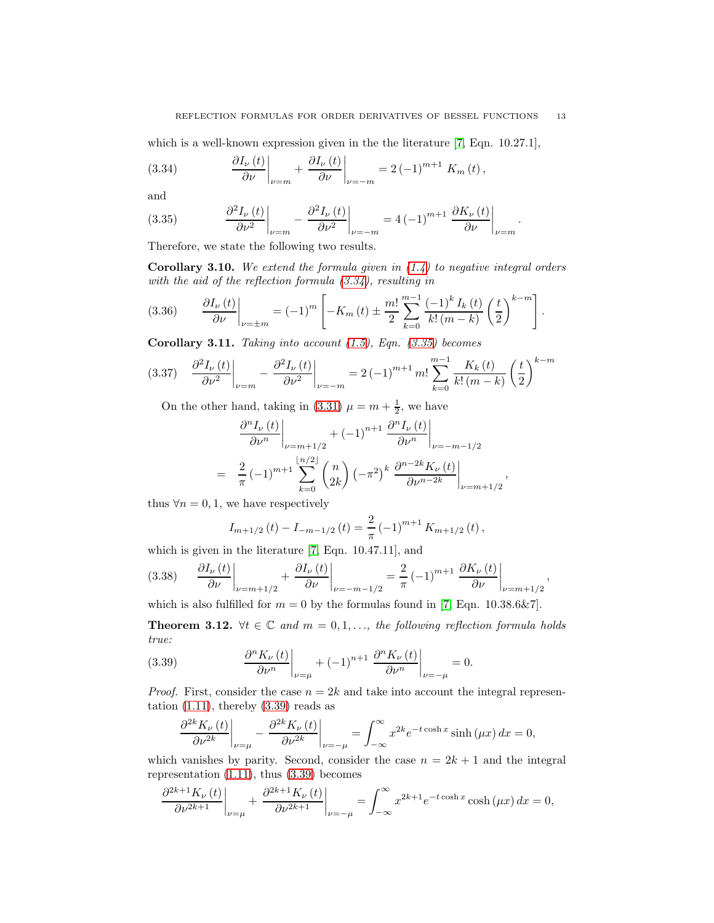.

,

which is a well-known expression given in the the literature [\[7,](#page-13-3) Eqn. 10.27.1],

<span id="page-12-0"></span>(3.34) 
$$
\frac{\partial I_{\nu}(t)}{\partial \nu}\bigg|_{\nu=m} + \frac{\partial I_{\nu}(t)}{\partial \nu}\bigg|_{\nu=-m} = 2(-1)^{m+1} K_m(t),
$$

and

<span id="page-12-1"></span>(3.35) 
$$
\frac{\partial^2 I_{\nu}(t)}{\partial \nu^2}\bigg|_{\nu=m} - \frac{\partial^2 I_{\nu}(t)}{\partial \nu^2}\bigg|_{\nu=-m} = 4(-1)^{m+1} \frac{\partial K_{\nu}(t)}{\partial \nu}\bigg|_{\nu=m}
$$

Therefore, we state the following two results.

**Corollary 3.10.** We extend the formula given in  $(1.4)$  to negative integral orders with the aid of the reflection formula [\(3.34\)](#page-12-0), resulting in

(3.36) 
$$
\frac{\partial I_{\nu}(t)}{\partial \nu}\bigg|_{\nu=\pm m} = (-1)^m \left[ -K_m(t) \pm \frac{m!}{2} \sum_{k=0}^{m-1} \frac{(-1)^k I_k(t)}{k! (m-k)} \left( \frac{t}{2} \right)^{k-m} \right].
$$

**Corollary 3.11.** Taking into account  $(1.5)$ , Eqn.  $(3.35)$  becomes

<span id="page-12-3"></span>
$$
(3.37) \quad \frac{\partial^2 I_{\nu}(t)}{\partial \nu^2}\bigg|_{\nu=m} - \frac{\partial^2 I_{\nu}(t)}{\partial \nu^2}\bigg|_{\nu=-m} = 2(-1)^{m+1} m! \sum_{k=0}^{m-1} \frac{K_k(t)}{k!(m-k)} \left(\frac{t}{2}\right)^{k-m}
$$

On the other hand, taking in [\(3.31\)](#page-11-1)  $\mu = m + \frac{1}{2}$ , we have

$$
\frac{\partial^{n} I_{\nu}(t)}{\partial \nu^{n}}\Big|_{\nu=m+1/2} + (-1)^{n+1} \frac{\partial^{n} I_{\nu}(t)}{\partial \nu^{n}}\Big|_{\nu=-m-1/2}
$$
  
=  $\frac{2}{\pi} (-1)^{m+1} \sum_{k=0}^{\lfloor n/2 \rfloor} {n \choose 2k} (-\pi^{2})^{k} \frac{\partial^{n-2k} K_{\nu}(t)}{\partial \nu^{n-2k}}\Big|_{\nu=m+1/2}$ 

thus  $\forall n = 0, 1$ , we have respectively

$$
I_{m+1/2}(t) - I_{-m-1/2}(t) = \frac{2}{\pi} (-1)^{m+1} K_{m+1/2}(t),
$$

which is given in the literature [\[7,](#page-13-3) Eqn. 10.47.11], and

<span id="page-12-4"></span>
$$
(3.38) \qquad \frac{\partial I_{\nu}(t)}{\partial \nu}\bigg|_{\nu=m+1/2} + \frac{\partial I_{\nu}(t)}{\partial \nu}\bigg|_{\nu=-m-1/2} = \frac{2}{\pi} \left(-1\right)^{m+1} \left.\frac{\partial K_{\nu}(t)}{\partial \nu}\right|_{\nu=m+1/2},
$$

which is also fulfilled for  $m = 0$  by the formulas found in [\[7,](#page-13-3) Eqn. 10.38.6&7].

**Theorem 3.12.**  $\forall t \in \mathbb{C}$  and  $m = 0, 1, \ldots$ , the following reflection formula holds true:

(3.39) 
$$
\left. \frac{\partial^n K_{\nu}(t)}{\partial \nu^n} \right|_{\nu=\mu} + (-1)^{n+1} \left. \frac{\partial^n K_{\nu}(t)}{\partial \nu^n} \right|_{\nu=-\mu} = 0.
$$

*Proof.* First, consider the case  $n = 2k$  and take into account the integral representation  $(1.11)$ , thereby  $(3.39)$  reads as

<span id="page-12-2"></span>
$$
\frac{\partial^{2k} K_{\nu}(t)}{\partial \nu^{2k}} \bigg|_{\nu=\mu} - \frac{\partial^{2k} K_{\nu}(t)}{\partial \nu^{2k}} \bigg|_{\nu=-\mu} = \int_{-\infty}^{\infty} x^{2k} e^{-t \cosh x} \sinh(\mu x) dx = 0,
$$

which vanishes by parity. Second, consider the case  $n = 2k + 1$  and the integral representation [\(1.11\)](#page-1-1), thus [\(3.39\)](#page-12-2) becomes

$$
\frac{\partial^{2k+1}K_{\nu}(t)}{\partial \nu^{2k+1}}\bigg|_{\nu=\mu} + \frac{\partial^{2k+1}K_{\nu}(t)}{\partial \nu^{2k+1}}\bigg|_{\nu=-\mu} = \int_{-\infty}^{\infty} x^{2k+1} e^{-t \cosh x} \cosh(\mu x) dx = 0,
$$